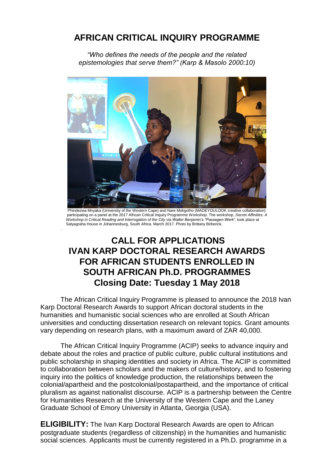## **AFRICAN CRITICAL INQUIRY PROGRAMME**

*"Who defines the needs of the people and the related epistemologies that serve them?" (Karp & Masolo 2000:10)*



 Phindezwa Mnyaka (University of the Western Cape) and Nare Mokgotho (MADEYOULOOK creative collaboration) participating on a panel at the 2017 African Critical Inquiry Programme Workshop. The workshop, *Secret Affinities: A Workshop in Critical Reading and Interrogation of the City via Walter Benjamin's "Passegen-Werk"*, took place at Satyagraha House in Johannesburg, South Africa. March 2017. Photo by Brittany Birberick.

.

## **CALL FOR APPLICATIONS IVAN KARP DOCTORAL RESEARCH AWARDS FOR AFRICAN STUDENTS ENROLLED IN SOUTH AFRICAN Ph.D. PROGRAMMES Closing Date: Tuesday 1 May 2018**

The African Critical Inquiry Programme is pleased to announce the 2018 Ivan Karp Doctoral Research Awards to support African doctoral students in the humanities and humanistic social sciences who are enrolled at South African universities and conducting dissertation research on relevant topics. Grant amounts vary depending on research plans, with a maximum award of ZAR 40,000.

The African Critical Inquiry Programme (ACIP) seeks to advance inquiry and debate about the roles and practice of public culture, public cultural institutions and public scholarship in shaping identities and society in Africa. The ACIP is committed to collaboration between scholars and the makers of culture/history, and to fostering inquiry into the politics of knowledge production, the relationships between the colonial/apartheid and the postcolonial/postapartheid, and the importance of critical pluralism as against nationalist discourse. ACIP is a partnership between the Centre for Humanities Research at the University of the Western Cape and the Laney Graduate School of Emory University in Atlanta, Georgia (USA).

**ELIGIBILITY:** The Ivan Karp Doctoral Research Awards are open to African postgraduate students (regardless of citizenship) in the humanities and humanistic social sciences. Applicants must be currently registered in a Ph.D. programme in a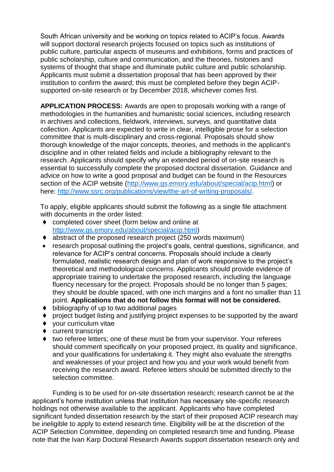South African university and be working on topics related to ACIP's focus. Awards will support doctoral research projects focused on topics such as institutions of public culture, particular aspects of museums and exhibitions, forms and practices of public scholarship, culture and communication, and the theories, histories and systems of thought that shape and illuminate public culture and public scholarship. Applicants must submit a dissertation proposal that has been approved by their institution to confirm the award; this must be completed before they begin ACIPsupported on-site research or by December 2018, whichever comes first.

**APPLICATION PROCESS:** Awards are open to proposals working with a range of methodologies in the humanities and humanistic social sciences, including research in archives and collections, fieldwork, interviews, surveys, and quantitative data collection. Applicants are expected to write in clear, intelligible prose for a selection committee that is multi-disciplinary and cross-regional. Proposals should show thorough knowledge of the major concepts, theories, and methods in the applicant's discipline and in other related fields and include a bibliography relevant to the research. Applicants should specify why an extended period of on-site research is essential to successfully complete the proposed doctoral dissertation. Guidance and advice on how to write a good proposal and budget can be found in the Resources section of the ACIP website [\(http://www.gs.emory.edu/about/special/acip.html\)](http://www.gs.emory.edu/about/special/acip.html) or here: [http://www.ssrc.org/publications/view/the-art-of-writing-proposals/.](http://www.ssrc.org/publications/view/the-art-of-writing-proposals/)

To apply, eligible applicants should submit the following as a single file attachment with documents in the order listed:

- ◆ completed cover sheet (form below and online at [http://www.gs.emory.edu/about/special/acip.html\)](http://www.gs.emory.edu/about/special/acip.html)
- abstract of the proposed research project (250 words maximum)
- research proposal outlining the project's goals, central questions, significance, and relevance for ACIP's central concerns. Proposals should include a clearly formulated, realistic research design and plan of work responsive to the project's theoretical and methodological concerns. Applicants should provide evidence of appropriate training to undertake the proposed research, including the language fluency necessary for the project. Proposals should be no longer than 5 pages; they should be double spaced, with one inch margins and a font no smaller than 11 point. **Applications that do not follow this format will not be considered.**
- $\bullet$  bibliography of up to two additional pages
- project budget listing and justifying project expenses to be supported by the award
- your curriculum vitae
- ◆ current transcript
- two referee letters; one of these must be from your supervisor. Your referees should comment specifically on your proposed project, its quality and significance, and your qualifications for undertaking it. They might also evaluate the strengths and weaknesses of your project and how you and your work would benefit from receiving the research award. Referee letters should be submitted directly to the selection committee.

Funding is to be used for on-site dissertation research; research cannot be at the applicant's home institution unless that institution has necessary site-specific research holdings not otherwise available to the applicant. Applicants who have completed significant funded dissertation research by the start of their proposed ACIP research may be ineligible to apply to extend research time. Eligibility will be at the discretion of the ACIP Selection Committee, depending on completed research time and funding. Please note that the Ivan Karp Doctoral Research Awards support dissertation research only and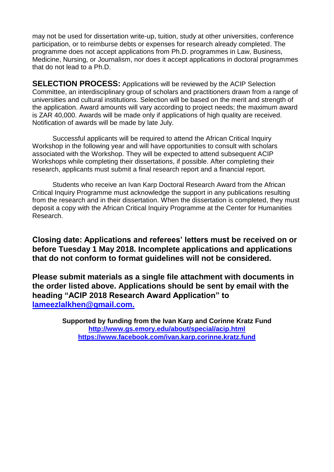may not be used for dissertation write-up, tuition, study at other universities, conference participation, or to reimburse debts or expenses for research already completed. The programme does not accept applications from Ph.D. programmes in Law, Business, Medicine, Nursing, or Journalism, nor does it accept applications in doctoral programmes that do not lead to a Ph.D.

**SELECTION PROCESS:** Applications will be reviewed by the ACIP Selection Committee, an interdisciplinary group of scholars and practitioners drawn from a range of universities and cultural institutions. Selection will be based on the merit and strength of the application. Award amounts will vary according to project needs; the maximum award is ZAR 40,000. Awards will be made only if applications of high quality are received. Notification of awards will be made by late July.

Successful applicants will be required to attend the African Critical Inquiry Workshop in the following year and will have opportunities to consult with scholars associated with the Workshop. They will be expected to attend subsequent ACIP Workshops while completing their dissertations, if possible. After completing their research, applicants must submit a final research report and a financial report.

Students who receive an Ivan Karp Doctoral Research Award from the African Critical Inquiry Programme must acknowledge the support in any publications resulting from the research and in their dissertation. When the dissertation is completed, they must deposit a copy with the African Critical Inquiry Programme at the Center for Humanities Research.

**Closing date: Applications and referees' letters must be received on or before Tuesday 1 May 2018. Incomplete applications and applications that do not conform to format guidelines will not be considered.**

**Please submit materials as a single file attachment with documents in the order listed above. Applications should be sent by email with the heading "ACIP 2018 Research Award Application" to lameezlalkhen@gmail.com.**

> **Supported by funding from the Ivan Karp and Corinne Kratz Fund <http://www.gs.emory.edu/about/special/acip.html> <https://www.facebook.com/ivan.karp.corinne.kratz.fund>**